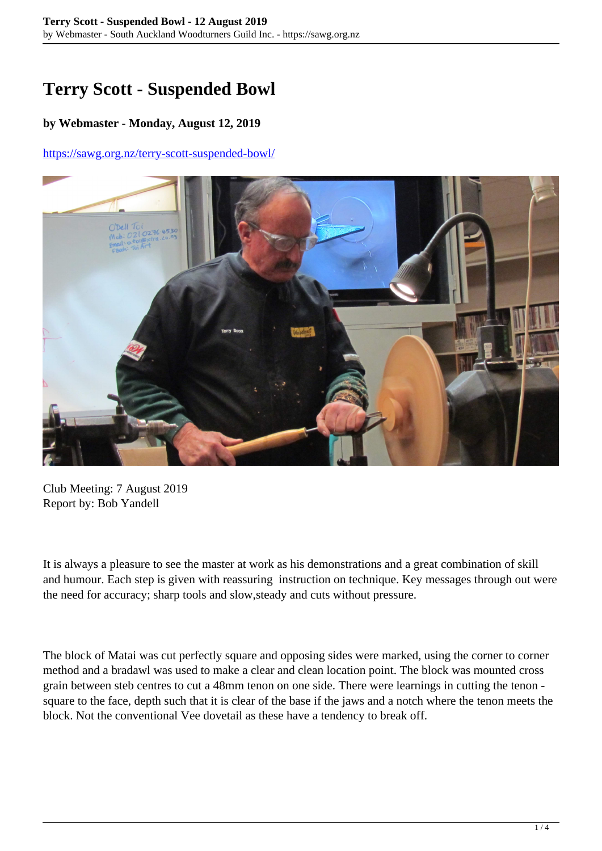## **Terry Scott - Suspended Bowl**

## **by Webmaster - Monday, August 12, 2019**

## <https://sawg.org.nz/terry-scott-suspended-bowl/>



Club Meeting: 7 August 2019 Report by: Bob Yandell

It is always a pleasure to see the master at work as his demonstrations and a great combination of skill and humour. Each step is given with reassuring instruction on technique. Key messages through out were the need for accuracy; sharp tools and slow,steady and cuts without pressure.

The block of Matai was cut perfectly square and opposing sides were marked, using the corner to corner method and a bradawl was used to make a clear and clean location point. The block was mounted cross grain between steb centres to cut a 48mm tenon on one side. There were learnings in cutting the tenon square to the face, depth such that it is clear of the base if the jaws and a notch where the tenon meets the block. Not the conventional Vee dovetail as these have a tendency to break off.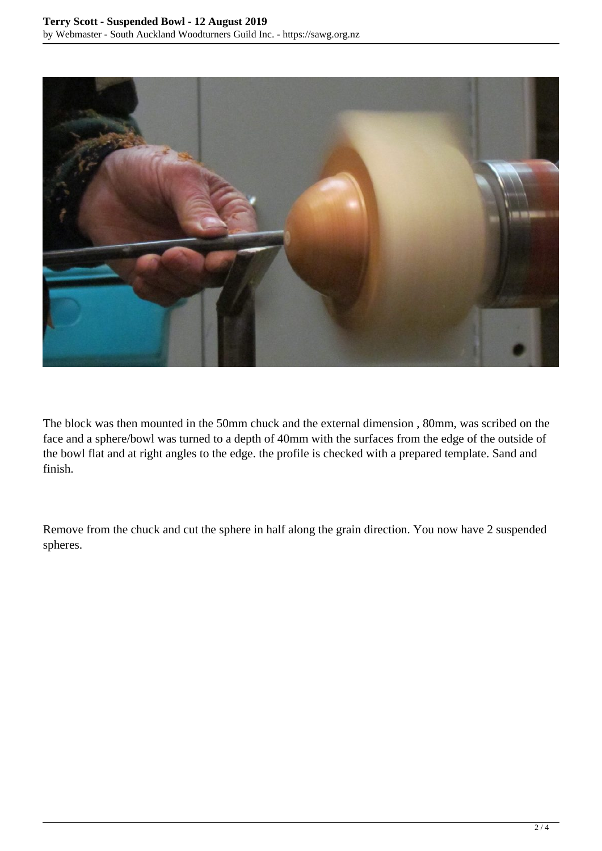

The block was then mounted in the 50mm chuck and the external dimension , 80mm, was scribed on the face and a sphere/bowl was turned to a depth of 40mm with the surfaces from the edge of the outside of the bowl flat and at right angles to the edge. the profile is checked with a prepared template. Sand and finish.

Remove from the chuck and cut the sphere in half along the grain direction. You now have 2 suspended spheres.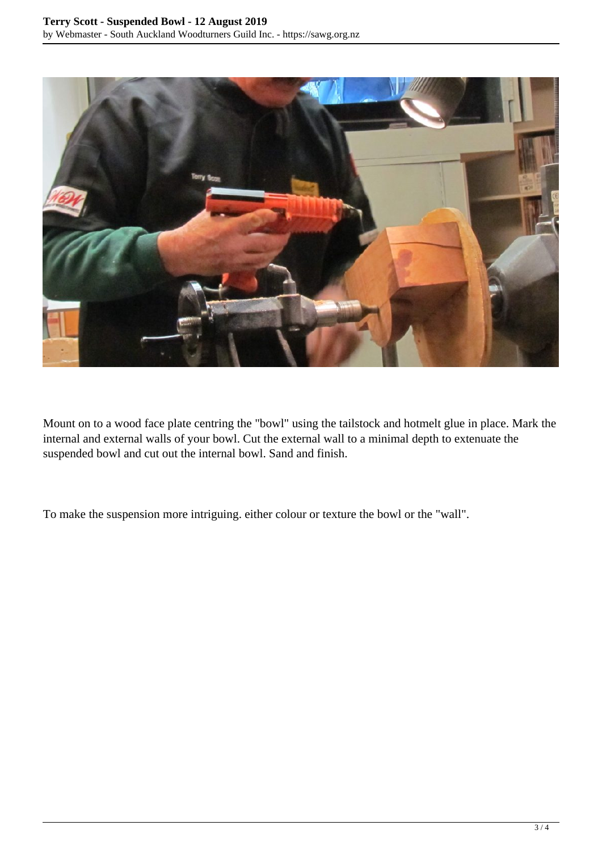

Mount on to a wood face plate centring the "bowl" using the tailstock and hotmelt glue in place. Mark the internal and external walls of your bowl. Cut the external wall to a minimal depth to extenuate the suspended bowl and cut out the internal bowl. Sand and finish.

To make the suspension more intriguing. either colour or texture the bowl or the "wall".